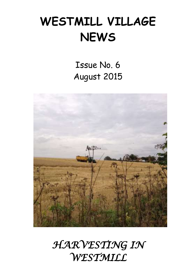# **WESTMILL VILLAGE NEWS**

Issue No. 6 August 2015



# *HARVESTING IN WESTMILL*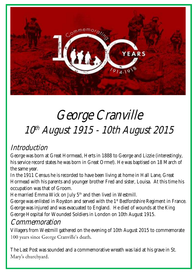

## 10 th August 1915 - 10th August 2015 George Cranville

## Introduction

George was born at Great Hormead, Herts in 1888 to George and Lizzie (interestingly,<br>his service record states he was born in Great Orme!). He was baptised on 18 March of George was born at Great Hormead, Herts in 1888 to George and Lizzie (interestingly, the same year.

the same year.<br>In the 1911 Census he is recorded to have been living at home in Hall Lane, Great Hormead with his parents and younger brother Fred and sister, Louisa. At this time his<br>occupation was that of Groom. occupation was that of Groom.

He married Emma Wick on July 5<sup>th</sup> and then lived in Westmill.

He married Emma Wick on July 5<sup>m</sup> and then lived in Westmill.<br>George was enlisted in Royston and served with the 1<sup>st</sup> Bedfordshire Regiment in France.  George was injured and was evacuated to England. He died of wounds at the King George Hospital for Wounded Soldiers in London on 10th August 1915.

## Commemoration

Nigel Leaney, 10th August 2015

Villagers from Westmill gathered on the evening of 10th August 2015 to commemorate<br>100 years since George Cranville's death. 100 years since George Cranville's death.

 The Last Post was sounded and a commemorative wreath was laid at his grave in St. Mary's churchyard.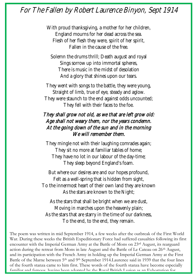### For The Fallen by Robert Laurence Binyon, Sept 1914

 England mourns for her dead across the sea.  Fallen in the cause of the free. With proud thanksgiving, a mother for her children, Flesh of her flesh they were, spirit of her spirit,

**Solemn the drums thrill; Death august and royal<br>
Sings sorrow up into immortal spheres** There is music in the midst of desolation<br>
And a glacy that shipss upon our team Sings sorrow up into immortal spheres, And a glory that shines upon our tears.

 They went with songs to the battle, they were young, straight or mind, true or eye, steady and agrow.<br>They were staunch to the end against odds uncounted; They fell with their faces to the foe.<br>If answeart old as we that are left Straight of limb, true of eye, steady and aglow.

### Age shall not weary them, nor the years condemn. We will remember them. They shall grow not old, as we that are left grow old: At the going down of the sun and in the morning

, mingle not with their laughing comrades a<br>They sit no more at familiar tables of home; have no lot in our labour of the day<br>They sleep beyond England's foam. They mingle not with their laughing comrades again; They have no lot in our labour of the day-time;

But where our desires are and our hopes profound,  To the innermost heart of their own land they are known Felt as a well-spring that is hidden from sight, As the stars are known to the Night;

 As the stars that shall be bright when we are dust,  Moving in marches upon the heavenly plain;  To the end, to the end, they remain. As the stars that are starry in the time of our darkness,

The poem was written in mid September 1914, a few weeks after the outbreak of the First World<br>War. During these weeks the British Expeditionary Force had suffered casualties following its firs encounter with the Imperial German Army at the Battle of Mons on 25<sup>th</sup> August, its rearguard<br>action during the retreat from Mons in late August and the Battle of Le Cateau on 26<sup>th</sup> August, Battle of the Marne between 5<sup>th</sup> and 9<sup>th</sup> September 1914.Laurence said in 1939 that the four lines<br>of the fourth stanza came to bim first. These words of the fourth stanza have become especially War. During these weeks the British Expeditionary Force had suffered casualties following its first encounter with the Imperial German Army at the Battle of Mons on 23rd August, its rearguard and its participation with the French Army in holding up the Imperial German Army at the First of the fourth stanza came to him first. These words of the fourth stanza have become especially familiar and famous, having been adopted by the Royal British Legion as an Exhortation for

ceremonies of Remembrance to commemorate fallen Servicemen and women.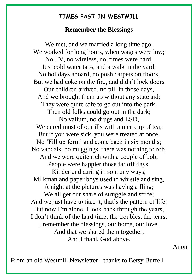# **TIMES PAST IN WESTMILL**

### **Remember the Blessings**

We met, and we married a long time ago. We worked for long hours, when wages were low; No TV, no wireless, no, times were hard, Just cold water taps, and a walk in the yard; No holidays aboard, no posh carpets on floors, But we had coke on the fire, and didn't lock doors Our children arrived, no pill in those days, And we brought them up without any state aid; They were quite safe to go out into the park, Then old folks could go out in the dark; No valium, no drugs and LSD, We cured most of our ills with a nice cup of tea; But if you were sick, you were treated at once, No 'Fill up form' and come back in six months; No vandals, no muggings, there was nothing to rob, And we were quite rich with a couple of bob: People were happier those far off days, Kinder and caring in so many ways; Milkman and paper boys used to whistle and sing, A night at the pictures was having a fling; We all get our share of struggle and strife; And we just have to face it, that's the pattern of life; But now I'm alone, I look back through the years, I don't think of the hard time, the troubles, the tears, I remember the blessings, our home, our love, And that we shared them together, And I thank God above.

Anon

From an old Westmill Newsletter - thanks to Betsy Burrell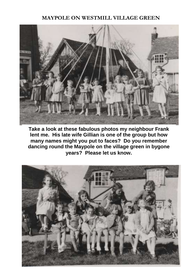### **MAYPOLE ON WESTMILL VILLAGE GREEN**



**Take a look at these fabulous photos my neighbour Frank lent me. His late wife Gillian is one of the group but how many names might you put to faces? Do you remember dancing round the Maypole on the village green in bygone years? Please let us know.**

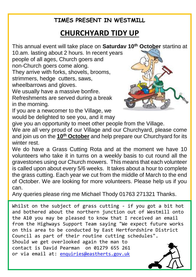### **TIMES PRESENT IN WESTMILL**

## **CHURCHYARD TIDY UP**

This annual event will take place on **Saturday 10th October** starting at

10.am. lasting about 2 hours. In recent years people of all ages, Church goers and non-Church goers come along. They arrive with forks, shovels, brooms, strimmers, hedge cutters, saws, wheelbarrows and gloves.

We usually have a massive bonfire. Refreshments are served during a break in the morning.

If you are a newcomer to the Village, we would be delighted to see you, and it may



give you an opportunity to meet other people from the Village.

We are all very proud of our Village and our Churchyard, please come and join us on the **10th October** and help prepare our Churchyard for its winter rest.

We do have a Grass Cutting Rota and at the moment we have 10 volunteers who take it in turns on a weekly basis to cut round all the gravestones using our Church mowers. This means that each volunteer is called upon about every 5/6 weeks. It takes about a hour to complete the grass cutting. Each year we cut from the middle of March to the end of October. We are looking for more volunteers. Please help us if you can.

Any queries please ring me Michael Thody 01763 271321 Thanks.

Whilst on the subject of grass cutting - if you got a bit hot and bothered about the northern junction out of Westmill onto the A10 you may be pleased to know that I received an email from the Highways Support Team saying "We expect future works on this area to be conducted by East Hertfordshire District Council as part of their routine cutting schedules". Should we get overlooked again the man to contact is David Pearman on 01279 655 261 or via email at: [enquiries@eastherts.gov.uk](mailto:enquiries@eastherts.gov.uk)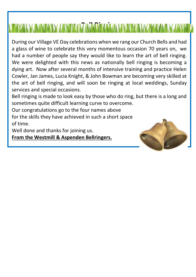# **BELL RINGING**

During our Village VE Day celebrations when we rang our Church Bells and had a glass of wine to celebrate this very momentous occasion 70 years on, we had a number of people say they would like to learn the art of bell ringing. We were delighted with this news as nationally bell ringing is becoming a dying art. Now after several months of intensive training and practice Helen Cowler, Jan James, Lucia Knight, & John Bowman are becoming very skilled at the art of bell ringing, and will soon be ringing at local weddings, Sunday services and special occasions.

Bell ringing is made to look easy by those who do ring, but there is a long and sometimes quite difficult learning curve to overcome.

Our congratulations go to the four names above for the skills they have achieved in such a short space of time.

Well done and thanks for joining us.

**From the Westmill & Aspenden Bellringers.**

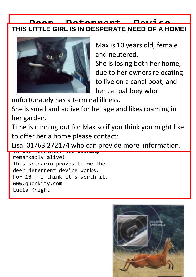## **Deer Deterrent Device THIS LITTLE GIRL IS IN DESPERATE NEED OF A HOME!**  $\mathbb{R}$  showled winter and winter seasons  $\mathbb{R}$  winter seasons seasons seasons seasons seasons seasons seasons searchers.



country of the country of the Max is 10 years old, female **developed** and neutered. I believe Italy - courtesy of the Italy She is losing both her home, due to her owners relocating to live on a canal boat, and

unfortunately has a terminal illness.

later, near Colliers England Colliers England Colliers England Colliers England Colliers England Colliers Engl She is small and active for her age and likes roaming in her garden.

Time is running out for Max so if you think you might like hand to remain grows to member to offer her a home please contact:

Lisa 01763 272174 who can provide more information. on res haanenes, was rookrig

remarkably alive! This scenario proves to me the deer deterrent device works. For £8 - I think it's worth it. www.querkity.com<br>License Kaisht Lucia Knight showroom.osborne@googlemail.com.

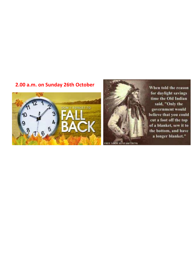### **2.00 a.m. on Sunday 26th October**





**Dans THINK** 

When told the reason for daylight savings time the Old Indian said, "Only the government would believe that you could cut a foot off the top of a blanket, sew it to the bottom, and have a lønger blanket."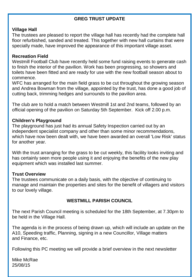### **GREG TRUST UPDATE**

#### **Village Hall**

The trustees are pleased to report the village hall has recently had the complete hall floor refurbished, sanded and treated. This together with new hall curtains that were specially made, have improved the appearance of this important village asset.

#### **Recreation Field**

Westmill Football Club have recently held some fund raising events to generate cash to finish the interior of the pavilion. Work has been progressing, so showers and toilets have been fitted and are ready for use with the new football season about to commence.

WFC has arranged for the main field grass to be cut throughout the growing season and Andrea Bowman from the village, appointed by the trust, has done a good job of cutting back, trimming hedges and surrounds to the pavilion area.

The club are to hold a match between Westmill 1st and 2nd teams, followed by an official opening of the pavilion on Saturday 5th September. Kick off 2.00 p.m.

#### **Children's Playground**

The playground has just had its annual Safety Inspection carried out by an independent specialist company and other than some minor recommendations, which have now been dealt with, we have been awarded an overall 'Low Risk' status for another year.

With the trust arranging for the grass to be cut weekly, this facility looks inviting and has certainly seen more people using it and enjoying the benefits of the new play equipment which was installed last summer.

#### **Trust Overview**

The trustees communicate on a daily basis, with the objective of continuing to manage and maintain the properties and sites for the benefit of villagers and visitors to our lovely village.

### **WESTMILL PARISH COUNCIL**

The next Parish Council meeting is scheduled for the 18th September, at 7.30pm to be held in the Village Hall.

The agenda is in the process of being drawn up, which will include an update on the A10, Speeding traffic, Planning, signing in a new Councillor, Village matters and Finance, etc.

Following this PC meeting we will provide a brief overview in the next newsletter

Mike McRae 25/08/15